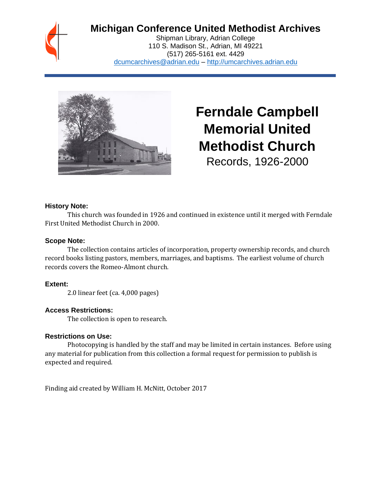# **Michigan Conference United Methodist Archives**

Shipman Library, Adrian College 110 S. Madison St., Adrian, MI 49221 (517) 265-5161 ext. 4429 [dcumcarchives@adrian.edu](mailto:dcumcarchives@adrian.edu) – [http://umcarchives.adrian.edu](http://umcarchives.adrian.edu/)



**Ferndale Campbell Memorial United Methodist Church** Records, 1926-2000

#### **History Note:**

This church was founded in 1926 and continued in existence until it merged with Ferndale First United Methodist Church in 2000.

#### **Scope Note:**

The collection contains articles of incorporation, property ownership records, and church record books listing pastors, members, marriages, and baptisms. The earliest volume of church records covers the Romeo-Almont church.

# **Extent:**

2.0 linear feet (ca. 4,000 pages)

# **Access Restrictions:**

The collection is open to research.

#### **Restrictions on Use:**

Photocopying is handled by the staff and may be limited in certain instances. Before using any material for publication from this collection a formal request for permission to publish is expected and required.

Finding aid created by William H. McNitt, October 2017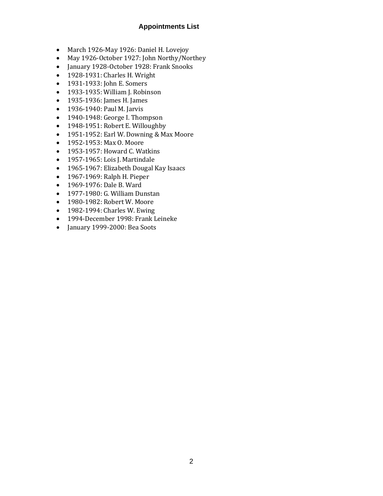## **Appointments List**

- March 1926-May 1926: Daniel H. Lovejoy
- May 1926-October 1927: John Northy/Northey
- January 1928-October 1928: Frank Snooks
- 1928-1931: Charles H. Wright
- 1931-1933: John E. Somers
- 1933-1935: William J. Robinson
- 1935-1936: James H. James
- 1936-1940: Paul M. Jarvis
- 1940-1948: George I. Thompson
- 1948-1951: Robert E. Willoughby
- 1951-1952: Earl W. Downing & Max Moore
- 1952-1953: Max O. Moore
- 1953-1957: Howard C. Watkins
- 1957-1965: Lois J. Martindale
- 1965-1967: Elizabeth Dougal Kay Isaacs
- 1967-1969: Ralph H. Pieper
- 1969-1976: Dale B. Ward
- 1977-1980: G. William Dunstan
- 1980-1982: Robert W. Moore
- 1982-1994: Charles W. Ewing
- 1994-December 1998: Frank Leineke
- January 1999-2000: Bea Soots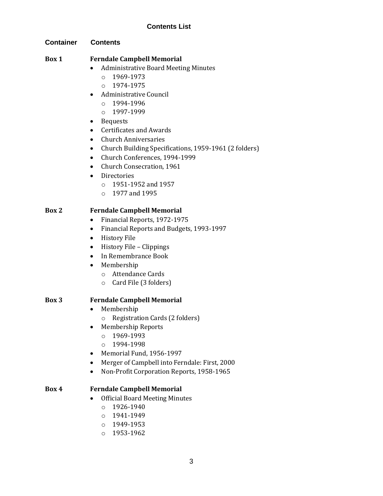## **Contents List**

**Container Contents**

#### **Box 1 Ferndale Campbell Memorial**

- Administrative Board Meeting Minutes
	- $O$  1969-1973
	- o 1974-1975
- Administrative Council
	- o 1994-1996
	- o 1997-1999
- Bequests
- Certificates and Awards
- Church Anniversaries
- Church Building Specifications, 1959-1961 (2 folders)
- Church Conferences, 1994-1999
- Church Consecration, 1961
- Directories
	- o 1951-1952 and 1957
	- o 1977 and 1995

#### **Box 2 Ferndale Campbell Memorial**

- Financial Reports, 1972-1975
- Financial Reports and Budgets, 1993-1997
- History File
- History File Clippings
- In Remembrance Book
- Membership
	- o Attendance Cards
	- o Card File (3 folders)

#### **Box 3 Ferndale Campbell Memorial**

- Membership
	- o Registration Cards (2 folders)
- Membership Reports
	- $0.1969 1993$
	- o 1994-1998
- Memorial Fund, 1956-1997
- Merger of Campbell into Ferndale: First, 2000
- Non-Profit Corporation Reports, 1958-1965

#### **Box 4 Ferndale Campbell Memorial**

- Official Board Meeting Minutes
	- o 1926-1940
	- o 1941-1949
	- o 1949-1953
	- o 1953-1962